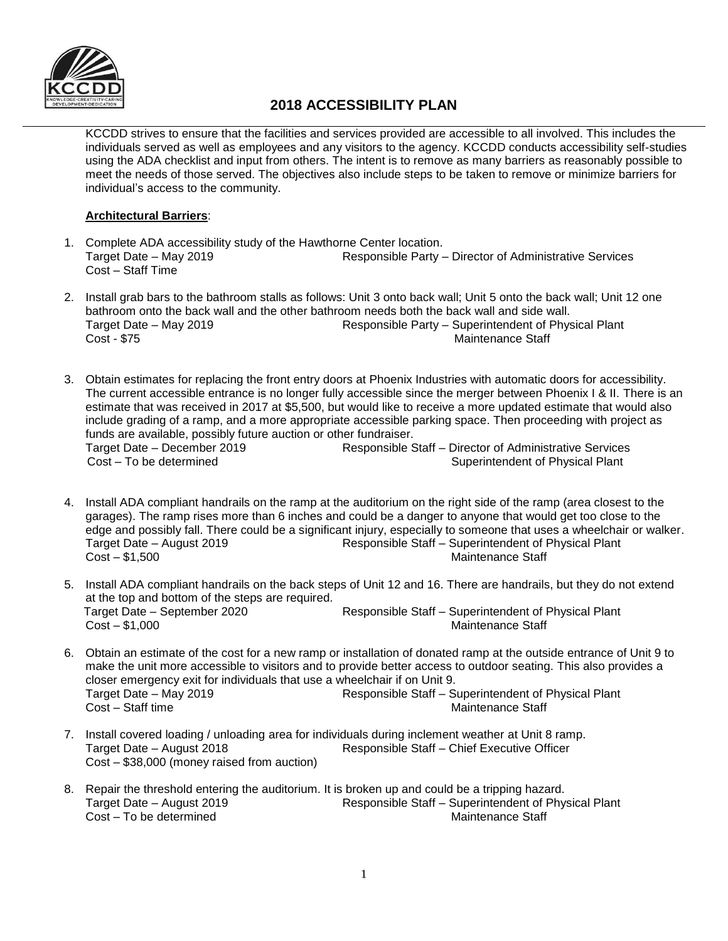

# **2018 ACCESSIBILITY PLAN**

KCCDD strives to ensure that the facilities and services provided are accessible to all involved. This includes the individuals served as well as employees and any visitors to the agency. KCCDD conducts accessibility self-studies using the ADA checklist and input from others. The intent is to remove as many barriers as reasonably possible to meet the needs of those served. The objectives also include steps to be taken to remove or minimize barriers for individual's access to the community.

## **Architectural Barriers**:

- 1. Complete ADA accessibility study of the Hawthorne Center location. Target Date – May 2019 Responsible Party – Director of Administrative Services Cost – Staff Time
- 2. Install grab bars to the bathroom stalls as follows: Unit 3 onto back wall; Unit 5 onto the back wall; Unit 12 one bathroom onto the back wall and the other bathroom needs both the back wall and side wall. Target Date – May 2019 **Responsible Party – Superintendent of Physical Plant** Cost - \$75 Maintenance Staff
- 3. Obtain estimates for replacing the front entry doors at Phoenix Industries with automatic doors for accessibility. The current accessible entrance is no longer fully accessible since the merger between Phoenix I & II. There is an estimate that was received in 2017 at \$5,500, but would like to receive a more updated estimate that would also include grading of a ramp, and a more appropriate accessible parking space. Then proceeding with project as funds are available, possibly future auction or other fundraiser. Target Date – December 2019 Responsible Staff – Director of Administrative Services Cost – To be determined and Superintendent of Physical Plant
- 4. Install ADA compliant handrails on the ramp at the auditorium on the right side of the ramp (area closest to the garages). The ramp rises more than 6 inches and could be a danger to anyone that would get too close to the edge and possibly fall. There could be a significant injury, especially to someone that uses a wheelchair or walker. Target Date – August 2019 Responsible Staff – Superintendent of Physical Plant **Cost – \$1,500** Maintenance Staff
- 5. Install ADA compliant handrails on the back steps of Unit 12 and 16. There are handrails, but they do not extend at the top and bottom of the steps are required. Target Date – September 2020 Responsible Staff – Superintendent of Physical Plant Cost – \$1,000 Maintenance Staff
- 6. Obtain an estimate of the cost for a new ramp or installation of donated ramp at the outside entrance of Unit 9 to make the unit more accessible to visitors and to provide better access to outdoor seating. This also provides a closer emergency exit for individuals that use a wheelchair if on Unit 9. Target Date – May 2019 Responsible Staff – Superintendent of Physical Plant Maintenance Staff
- 7. Install covered loading / unloading area for individuals during inclement weather at Unit 8 ramp. Target Date – August 2018 Responsible Staff – Chief Executive Officer Cost – \$38,000 (money raised from auction)
- 8. Repair the threshold entering the auditorium. It is broken up and could be a tripping hazard.<br>Target Date August 2019 Responsible Staff Superintendent of Phy Responsible Staff – Superintendent of Physical Plant<br>Maintenance Staff  $Cost - To be determined$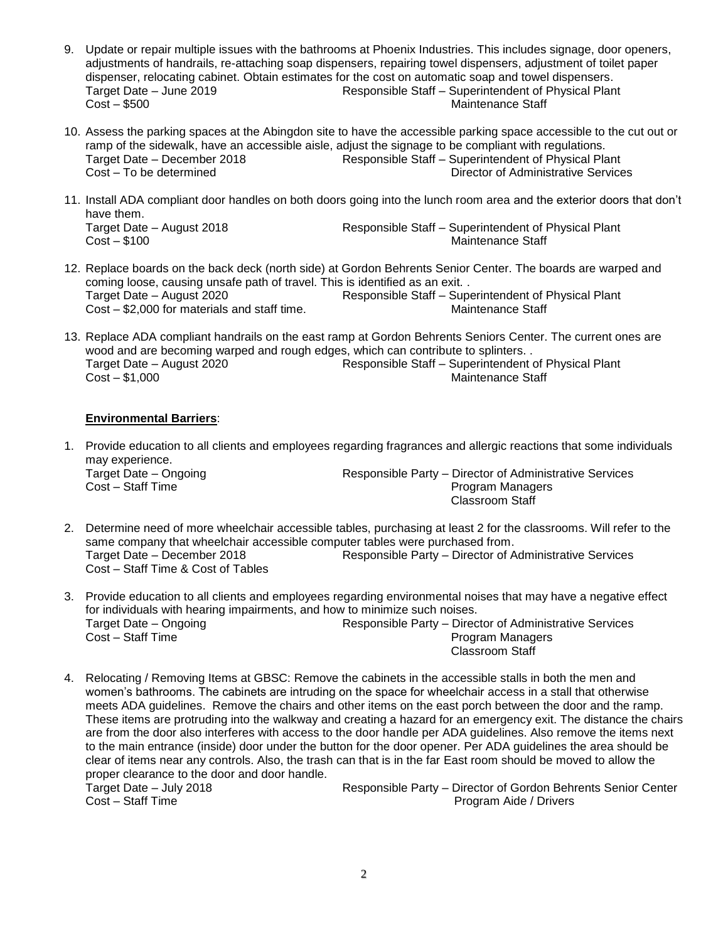- 9. Update or repair multiple issues with the bathrooms at Phoenix Industries. This includes signage, door openers, adjustments of handrails, re-attaching soap dispensers, repairing towel dispensers, adjustment of toilet paper dispenser, relocating cabinet. Obtain estimates for the cost on automatic soap and towel dispensers. Target Date – June 2019 Responsible Staff – Superintendent of Physical Plant Cost – \$500 Maintenance Staff
- 10. Assess the parking spaces at the Abingdon site to have the accessible parking space accessible to the cut out or ramp of the sidewalk, have an accessible aisle, adjust the signage to be compliant with regulations. Responsible Staff – Superintendent of Physical Plant Cost – To be determined Director of Administrative Services
- 11. Install ADA compliant door handles on both doors going into the lunch room area and the exterior doors that don't have them. Target Date – August 2018 Responsible Staff – Superintendent of Physical Plant Maintenance Staff
- 12. Replace boards on the back deck (north side) at Gordon Behrents Senior Center. The boards are warped and coming loose, causing unsafe path of travel. This is identified as an exit. . Target Date – August 2020 Responsible Staff – Superintendent of Physical Plant Cost – \$2,000 for materials and staff time. Maintenance Staff under the Maintenance Staff
- 13. Replace ADA compliant handrails on the east ramp at Gordon Behrents Seniors Center. The current ones are wood and are becoming warped and rough edges, which can contribute to splinters. . Target Date – August 2020 Responsible Staff – Superintendent of Physical Plant Cost – \$1,000 Maintenance Staff

## **Environmental Barriers**:

1. Provide education to all clients and employees regarding fragrances and allergic reactions that some individuals may experience. Target Date – Ongoing Target Date – Ongoing Responsible Party – Director of Administrative Services

**Cost – Staff Time Program Managers** Program Managers Classroom Staff

- 2. Determine need of more wheelchair accessible tables, purchasing at least 2 for the classrooms. Will refer to the same company that wheelchair accessible computer tables were purchased from.<br>Target Date – December 2018 **Responsible Party – Director of A** Responsible Party – Director of Administrative Services Cost – Staff Time & Cost of Tables
- 3. Provide education to all clients and employees regarding environmental noises that may have a negative effect for individuals with hearing impairments, and how to minimize such noises. Target Date – Ongoing Target Communistrative Services Responsible Party – Director of Administrative Services **Cost – Staff Time Program Managers** Program Managers Classroom Staff
- 4. Relocating / Removing Items at GBSC: Remove the cabinets in the accessible stalls in both the men and women's bathrooms. The cabinets are intruding on the space for wheelchair access in a stall that otherwise meets ADA guidelines. Remove the chairs and other items on the east porch between the door and the ramp. These items are protruding into the walkway and creating a hazard for an emergency exit. The distance the chairs are from the door also interferes with access to the door handle per ADA guidelines. Also remove the items next to the main entrance (inside) door under the button for the door opener. Per ADA guidelines the area should be clear of items near any controls. Also, the trash can that is in the far East room should be moved to allow the proper clearance to the door and door handle.

Target Date – July 2018 Responsible Party – Director of Gordon Behrents Senior Center Cost – Staff Time **Program Aide / Drivers** Program Aide / Drivers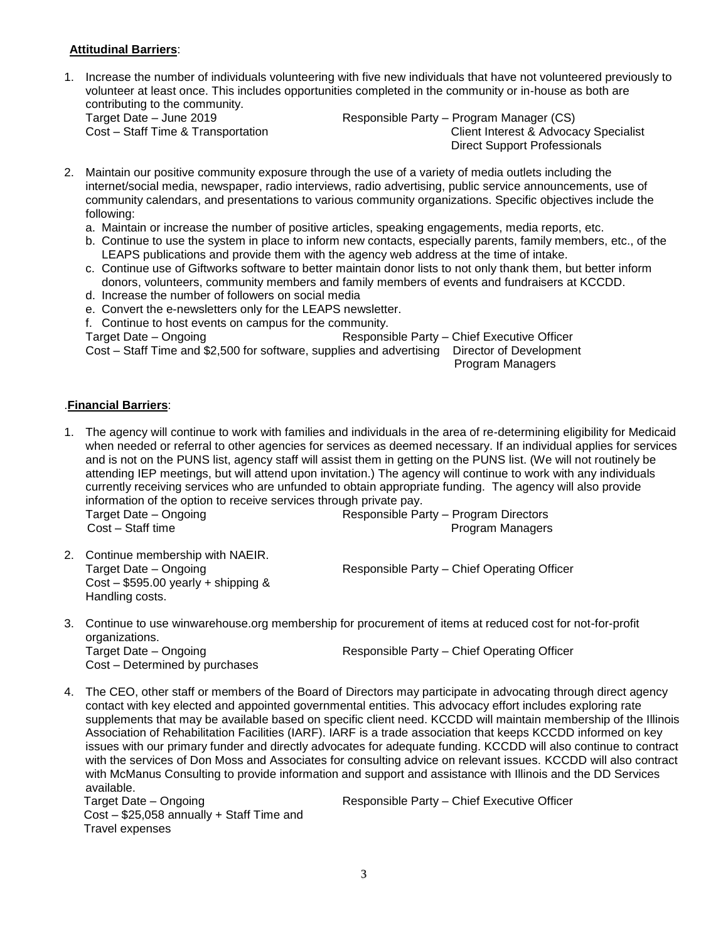### **Attitudinal Barriers**:

1. Increase the number of individuals volunteering with five new individuals that have not volunteered previously to volunteer at least once. This includes opportunities completed in the community or in-house as both are contributing to the community.<br>Target Date - June 2019

Responsible Party – Program Manager (CS) Cost – Staff Time & Transportation Client Interest & Advocacy Specialist Direct Support Professionals

- 2. Maintain our positive community exposure through the use of a variety of media outlets including the internet/social media, newspaper, radio interviews, radio advertising, public service announcements, use of community calendars, and presentations to various community organizations. Specific objectives include the following:
	- a. Maintain or increase the number of positive articles, speaking engagements, media reports, etc.
	- b. Continue to use the system in place to inform new contacts, especially parents, family members, etc., of the LEAPS publications and provide them with the agency web address at the time of intake.
	- c. Continue use of Giftworks software to better maintain donor lists to not only thank them, but better inform donors, volunteers, community members and family members of events and fundraisers at KCCDD.
	- d. Increase the number of followers on social media
	- e. Convert the e-newsletters only for the LEAPS newsletter.
	- f. Continue to host events on campus for the community.

Target Date – Ongoing Responsible Party – Chief Executive Officer

Cost – Staff Time and \$2,500 for software, supplies and advertising Director of Development

Program Managers

#### .**Financial Barriers**:

1. The agency will continue to work with families and individuals in the area of re-determining eligibility for Medicaid when needed or referral to other agencies for services as deemed necessary. If an individual applies for services and is not on the PUNS list, agency staff will assist them in getting on the PUNS list. (We will not routinely be attending IEP meetings, but will attend upon invitation.) The agency will continue to work with any individuals currently receiving services who are unfunded to obtain appropriate funding. The agency will also provide information of the option to receive services through private pay.

Target Date – Ongoing Responsible Party – Program Directors **Cost – Staff time Program Managers Cost – Staff time** 

2. Continue membership with NAEIR. Cost – \$595.00 yearly + shipping & Handling costs.

Target Date – Ongoing **Responsible Party – Chief Operating Officer** 

- 3. Continue to use winwarehouse.org membership for procurement of items at reduced cost for not-for-profit organizations. Target Date – Ongoing Target Date – Ongoing Responsible Party – Chief Operating Officer Cost – Determined by purchases
- 4. The CEO, other staff or members of the Board of Directors may participate in advocating through direct agency contact with key elected and appointed governmental entities. This advocacy effort includes exploring rate supplements that may be available based on specific client need. KCCDD will maintain membership of the Illinois Association of Rehabilitation Facilities (IARF). IARF is a trade association that keeps KCCDD informed on key issues with our primary funder and directly advocates for adequate funding. KCCDD will also continue to contract with the services of Don Moss and Associates for consulting advice on relevant issues. KCCDD will also contract with McManus Consulting to provide information and support and assistance with Illinois and the DD Services available.

Target Date – Ongoing Target Date – Chief Executive Officer Cost – \$25,058 annually + Staff Time and Travel expenses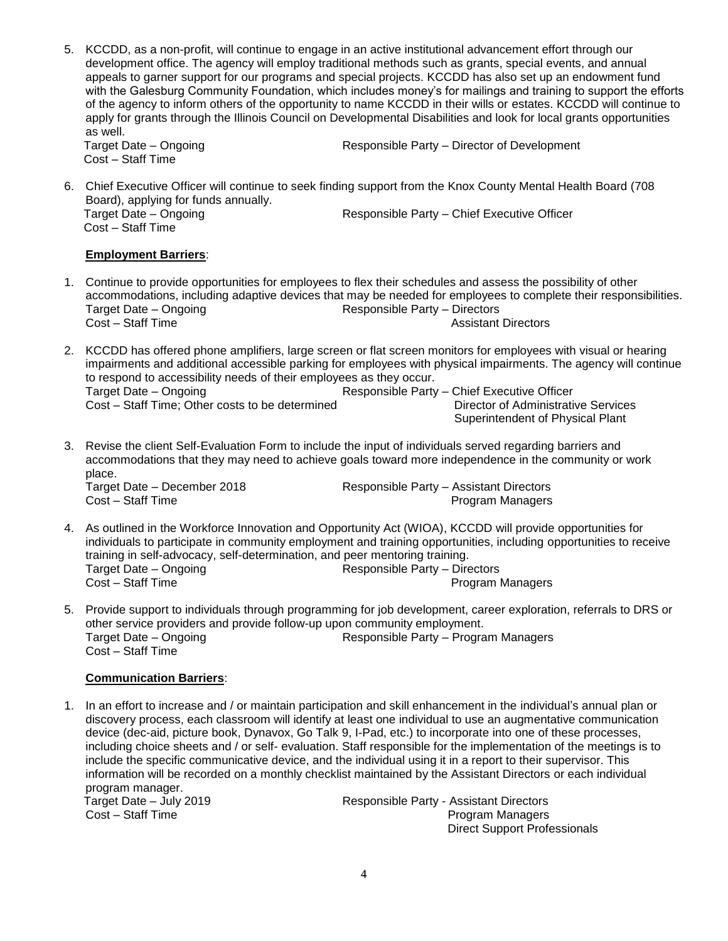5. KCCDD, as a non-profit, will continue to engage in an active institutional advancement effort through our development office. The agency will employ traditional methods such as grants, special events, and annual appeals to garner support for our programs and special projects. KCCDD has also set up an endowment fund with the Galesburg Community Foundation, which includes money's for mailings and training to support the efforts of the agency to inform others of the opportunity to name KCCDD in their wills or estates. KCCDD will continue to apply for grants through the Illinois Council on Developmental Disabilities and look for local grants opportunities as well.

Cost – Staff Time

**Target Date – Ongoing Target Date – Ongoing Responsible Party – Director of Development** 

6. Chief Executive Officer will continue to seek finding support from the Knox County Mental Health Board (708 Board), applying for funds annually. **Target Date – Ongoing Target Date – Ongoing Responsible Party – Chief Executive Officer** Cost – Staff Time

#### **Employment Barriers**:

- 1. Continue to provide opportunities for employees to flex their schedules and assess the possibility of other accommodations, including adaptive devices that may be needed for employees to complete their responsibilities. Target Date – Ongoing Target Date – Ongoing Responsible Party – Directors **Cost – Staff Time Cost – Staff Time Assistant Directors**
- 2. KCCDD has offered phone amplifiers, large screen or flat screen monitors for employees with visual or hearing impairments and additional accessible parking for employees with physical impairments. The agency will continue to respond to accessibility needs of their employees as they occur. Target Date – Ongoing Target Date – Ongoing Responsible Party – Chief Executive Officer Cost – Staff Time; Other costs to be determined Director of Administrative Services Superintendent of Physical Plant
- 3. Revise the client Self-Evaluation Form to include the input of individuals served regarding barriers and accommodations that they may need to achieve goals toward more independence in the community or work place. Target Date – December 2018 Responsible Party – Assistant Directors

**Cost – Staff Time Program Managers** Program Managers

- 4. As outlined in the Workforce Innovation and Opportunity Act (WIOA), KCCDD will provide opportunities for individuals to participate in community employment and training opportunities, including opportunities to receive training in self-advocacy, self-determination, and peer mentoring training. Target Date – Ongoing Target Date – Ongoing Responsible Party – Directors<br>Cost – Staff Time **Responsible Party – Program** N Program Managers
- 5. Provide support to individuals through programming for job development, career exploration, referrals to DRS or other service providers and provide follow-up upon community employment. Target Date – Ongoing Target Date – Ongoing Responsible Party – Program Managers Cost – Staff Time

#### **Communication Barriers**:

1. In an effort to increase and / or maintain participation and skill enhancement in the individual's annual plan or discovery process, each classroom will identify at least one individual to use an augmentative communication device (dec-aid, picture book, Dynavox, Go Talk 9, I-Pad, etc.) to incorporate into one of these processes, including choice sheets and / or self- evaluation. Staff responsible for the implementation of the meetings is to include the specific communicative device, and the individual using it in a report to their supervisor. This information will be recorded on a monthly checklist maintained by the Assistant Directors or each individual program manager. Target Date – July 2019 Responsible Party - Assistant Directors Program Managers Direct Support Professionals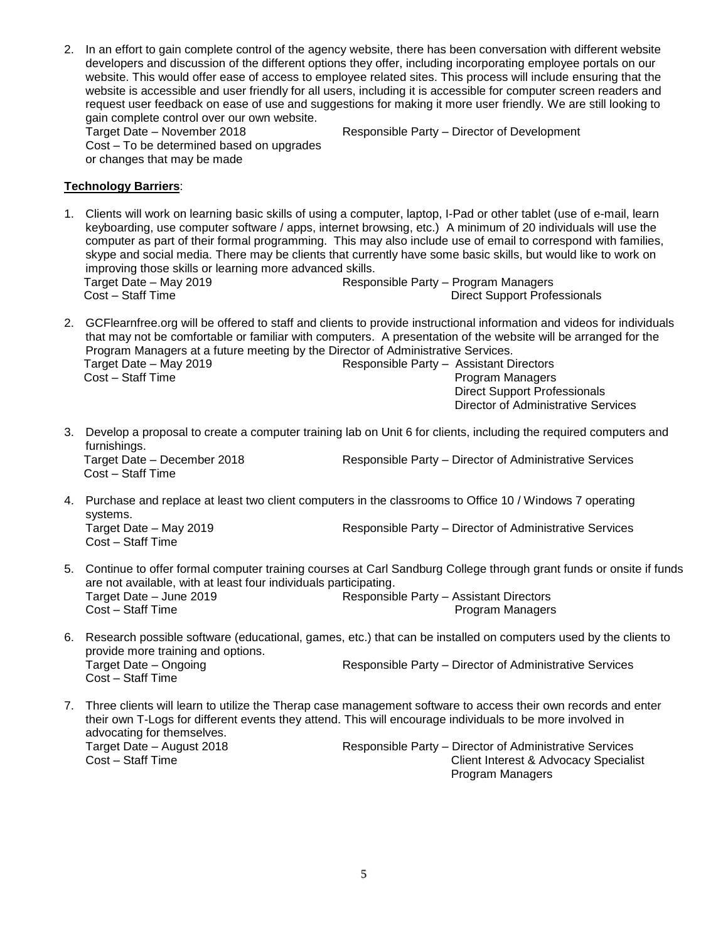2. In an effort to gain complete control of the agency website, there has been conversation with different website developers and discussion of the different options they offer, including incorporating employee portals on our website. This would offer ease of access to employee related sites. This process will include ensuring that the website is accessible and user friendly for all users, including it is accessible for computer screen readers and request user feedback on ease of use and suggestions for making it more user friendly. We are still looking to gain complete control over our own website.

Target Date – November 2018 Responsible Party – Director of Development Cost – To be determined based on upgrades or changes that may be made

#### **Technology Barriers**:

1. Clients will work on learning basic skills of using a computer, laptop, I-Pad or other tablet (use of e-mail, learn keyboarding, use computer software / apps, internet browsing, etc.) A minimum of 20 individuals will use the computer as part of their formal programming. This may also include use of email to correspond with families, skype and social media. There may be clients that currently have some basic skills, but would like to work on improving those skills or learning more advanced skills. Target Date – May 2019 Responsible Party – Program Managers Cost – Staff Time **Direct Support Professionals** 

2. GCFlearnfree.org will be offered to staff and clients to provide instructional information and videos for individuals that may not be comfortable or familiar with computers. A presentation of the website will be arranged for the Program Managers at a future meeting by the Director of Administrative Services. Target Date – May 2019 Responsible Party – Assistant Directors Cost – Staff Time **Program Managers** Program Managers Direct Support Professionals

3. Develop a proposal to create a computer training lab on Unit 6 for clients, including the required computers and furnishings.

Cost – Staff Time

Target Date – December 2018 Responsible Party – Director of Administrative Services

Director of Administrative Services

- 4. Purchase and replace at least two client computers in the classrooms to Office 10 / Windows 7 operating systems. Target Date – May 2019 **Responsible Party – Director of Administrative Services** Cost – Staff Time
- 5. Continue to offer formal computer training courses at Carl Sandburg College through grant funds or onsite if funds are not available, with at least four individuals participating. Target Date – June 2019 Responsible Party – Assistant Directors Program Managers
- 6. Research possible software (educational, games, etc.) that can be installed on computers used by the clients to provide more training and options. Target Date – Ongoing Target Date – Ongoing Responsible Party – Director of Administrative Services Cost – Staff Time
- 7. Three clients will learn to utilize the Therap case management software to access their own records and enter their own T-Logs for different events they attend. This will encourage individuals to be more involved in advocating for themselves. Target Date – August 2018 **Responsible Party – Director of Administrative Services**<br>Client Interest & Advocacy Specialis Client Interest & Advocacy Specialist Program Managers